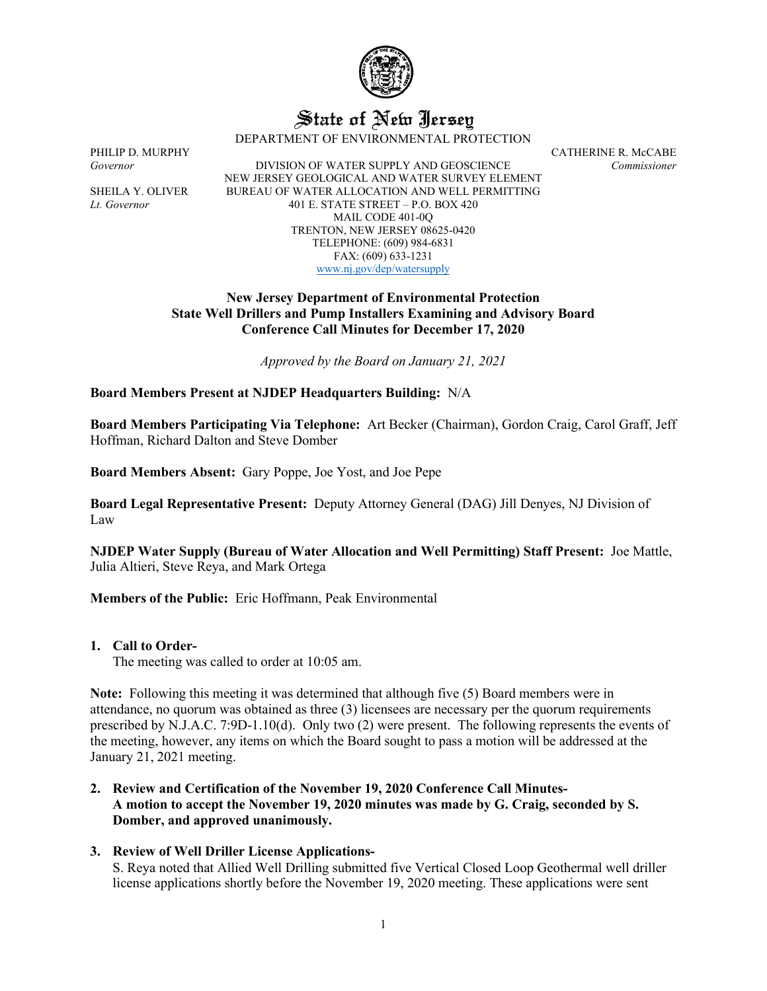

# State of New Jersey

DEPARTMENT OF ENVIRONMENTAL PROTECTION

PHILIP D. MURPHY CATHERINE R. McCABE *Governor* DIVISION OF WATER SUPPLY AND GEOSCIENCE *Commissioner* NEW JERSEY GEOLOGICAL AND WATER SURVEY ELEMENT SHEILA Y. OLIVER BUREAU OF WATER ALLOCATION AND WELL PERMITTING *Lt. Governor* 401 E. STATE STREET – P.O. BOX 420 MAIL CODE 401-0Q TRENTON, NEW JERSEY 08625-0420 TELEPHONE: (609) 984-6831 FAX: (609) 633-1231 [www.nj.gov/dep/watersupply](http://www.nj.gov/dep/watersupply)

## **New Jersey Department of Environmental Protection State Well Drillers and Pump Installers Examining and Advisory Board Conference Call Minutes for December 17, 2020**

*Approved by the Board on January 21, 2021*

**Board Members Present at NJDEP Headquarters Building:** N/A

**Board Members Participating Via Telephone:** Art Becker (Chairman), Gordon Craig, Carol Graff, Jeff Hoffman, Richard Dalton and Steve Domber

**Board Members Absent:** Gary Poppe, Joe Yost, and Joe Pepe

**Board Legal Representative Present:** Deputy Attorney General (DAG) Jill Denyes, NJ Division of Law

**NJDEP Water Supply (Bureau of Water Allocation and Well Permitting) Staff Present:** Joe Mattle, Julia Altieri, Steve Reya, and Mark Ortega

**Members of the Public:** Eric Hoffmann, Peak Environmental

#### **1. Call to Order-**

The meeting was called to order at 10:05 am.

**Note:** Following this meeting it was determined that although five (5) Board members were in attendance, no quorum was obtained as three (3) licensees are necessary per the quorum requirements prescribed by N.J.A.C. 7:9D-1.10(d). Only two (2) were present. The following represents the events of the meeting, however, any items on which the Board sought to pass a motion will be addressed at the January 21, 2021 meeting.

- **2. Review and Certification of the November 19, 2020 Conference Call Minutes-A motion to accept the November 19, 2020 minutes was made by G. Craig, seconded by S. Domber, and approved unanimously.**
- **3. Review of Well Driller License Applications-**

S. Reya noted that Allied Well Drilling submitted five Vertical Closed Loop Geothermal well driller license applications shortly before the November 19, 2020 meeting. These applications were sent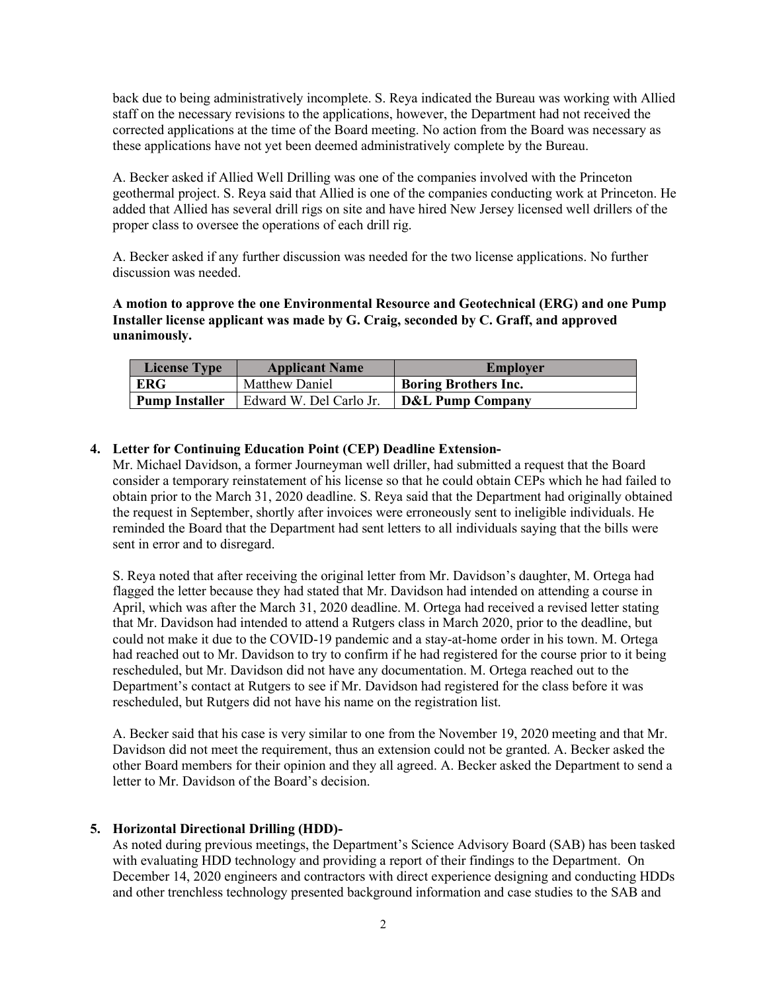back due to being administratively incomplete. S. Reya indicated the Bureau was working with Allied staff on the necessary revisions to the applications, however, the Department had not received the corrected applications at the time of the Board meeting. No action from the Board was necessary as these applications have not yet been deemed administratively complete by the Bureau.

A. Becker asked if Allied Well Drilling was one of the companies involved with the Princeton geothermal project. S. Reya said that Allied is one of the companies conducting work at Princeton. He added that Allied has several drill rigs on site and have hired New Jersey licensed well drillers of the proper class to oversee the operations of each drill rig.

A. Becker asked if any further discussion was needed for the two license applications. No further discussion was needed.

**A motion to approve the one Environmental Resource and Geotechnical (ERG) and one Pump Installer license applicant was made by G. Craig, seconded by C. Graff, and approved unanimously.**

| <b>License Type</b> | <b>Applicant Name</b>   | Employer                    |
|---------------------|-------------------------|-----------------------------|
| ERG                 | Matthew Daniel          | <b>Boring Brothers Inc.</b> |
| Pump Installer      | Edward W. Del Carlo Jr. | <b>D&amp;L Pump Company</b> |

### **4. Letter for Continuing Education Point (CEP) Deadline Extension-**

Mr. Michael Davidson, a former Journeyman well driller, had submitted a request that the Board consider a temporary reinstatement of his license so that he could obtain CEPs which he had failed to obtain prior to the March 31, 2020 deadline. S. Reya said that the Department had originally obtained the request in September, shortly after invoices were erroneously sent to ineligible individuals. He reminded the Board that the Department had sent letters to all individuals saying that the bills were sent in error and to disregard.

S. Reya noted that after receiving the original letter from Mr. Davidson's daughter, M. Ortega had flagged the letter because they had stated that Mr. Davidson had intended on attending a course in April, which was after the March 31, 2020 deadline. M. Ortega had received a revised letter stating that Mr. Davidson had intended to attend a Rutgers class in March 2020, prior to the deadline, but could not make it due to the COVID-19 pandemic and a stay-at-home order in his town. M. Ortega had reached out to Mr. Davidson to try to confirm if he had registered for the course prior to it being rescheduled, but Mr. Davidson did not have any documentation. M. Ortega reached out to the Department's contact at Rutgers to see if Mr. Davidson had registered for the class before it was rescheduled, but Rutgers did not have his name on the registration list.

A. Becker said that his case is very similar to one from the November 19, 2020 meeting and that Mr. Davidson did not meet the requirement, thus an extension could not be granted. A. Becker asked the other Board members for their opinion and they all agreed. A. Becker asked the Department to send a letter to Mr. Davidson of the Board's decision.

#### **5. Horizontal Directional Drilling (HDD)-**

As noted during previous meetings, the Department's Science Advisory Board (SAB) has been tasked with evaluating HDD technology and providing a report of their findings to the Department. On December 14, 2020 engineers and contractors with direct experience designing and conducting HDDs and other trenchless technology presented background information and case studies to the SAB and